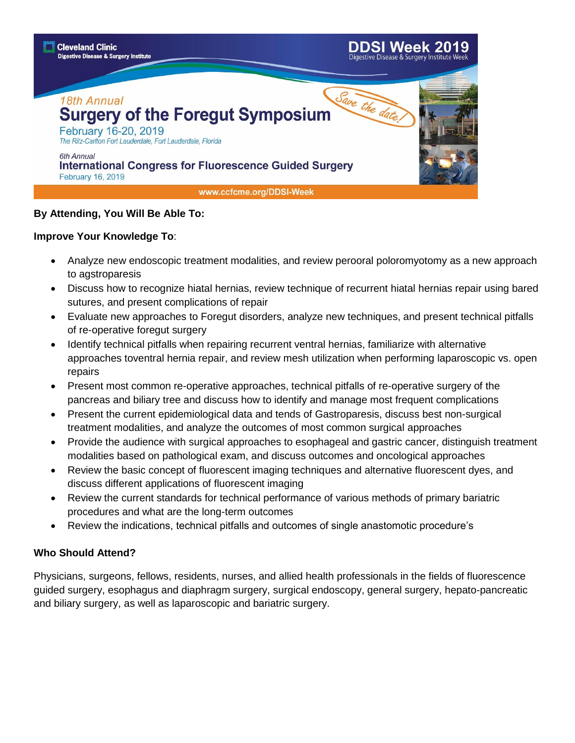

#### **By Attending, You Will Be Able To:**

#### **Improve Your Knowledge To**:

- Analyze new endoscopic treatment modalities, and review perooral poloromyotomy as a new approach to agstroparesis
- Discuss how to recognize hiatal hernias, review technique of recurrent hiatal hernias repair using bared sutures, and present complications of repair
- Evaluate new approaches to Foregut disorders, analyze new techniques, and present technical pitfalls of re-operative foregut surgery
- Identify technical pitfalls when repairing recurrent ventral hernias, familiarize with alternative approaches toventral hernia repair, and review mesh utilization when performing laparoscopic vs. open repairs
- Present most common re-operative approaches, technical pitfalls of re-operative surgery of the pancreas and biliary tree and discuss how to identify and manage most frequent complications
- Present the current epidemiological data and tends of Gastroparesis, discuss best non-surgical treatment modalities, and analyze the outcomes of most common surgical approaches
- Provide the audience with surgical approaches to esophageal and gastric cancer, distinguish treatment modalities based on pathological exam, and discuss outcomes and oncological approaches
- Review the basic concept of fluorescent imaging techniques and alternative fluorescent dyes, and discuss different applications of fluorescent imaging
- Review the current standards for technical performance of various methods of primary bariatric procedures and what are the long-term outcomes
- Review the indications, technical pitfalls and outcomes of single anastomotic procedure's

#### **Who Should Attend?**

Physicians, surgeons, fellows, residents, nurses, and allied health professionals in the fields of fluorescence guided surgery, esophagus and diaphragm surgery, surgical endoscopy, general surgery, hepato-pancreatic and biliary surgery, as well as laparoscopic and bariatric surgery.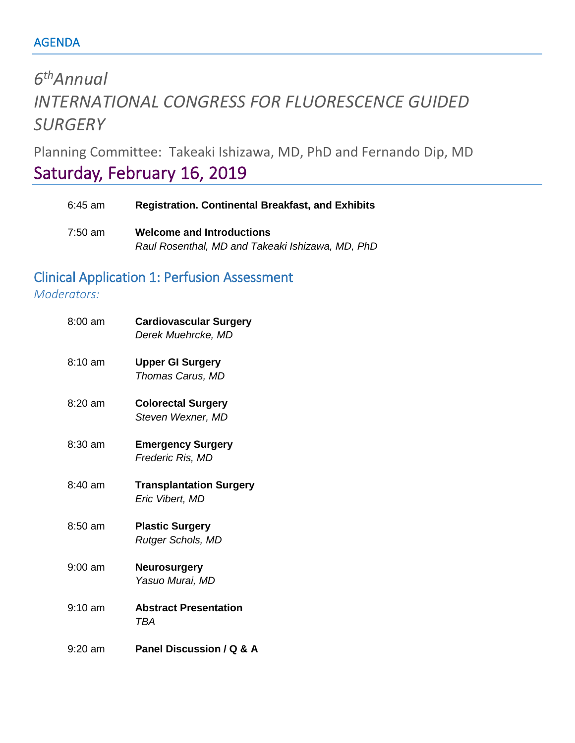# *6 thAnnual INTERNATIONAL CONGRESS FOR FLUORESCENCE GUIDED SURGERY*

Planning Committee: Takeaki Ishizawa, MD, PhD and Fernando Dip, MD

# Saturday, February 16, 2019

| $6:45$ am | <b>Registration. Continental Breakfast, and Exhibits</b> |
|-----------|----------------------------------------------------------|
| 7:50 am   | <b>Welcome and Introductions</b>                         |
|           | Raul Rosenthal, MD and Takeaki Ishizawa, MD, PhD         |

## Clinical Application 1: Perfusion Assessment

#### *Moderators:*

| $8:00 \text{ am}$ | <b>Cardiovascular Surgery</b><br>Derek Muehrcke, MD |
|-------------------|-----------------------------------------------------|
| $8:10 \text{ am}$ | <b>Upper GI Surgery</b><br>Thomas Carus, MD         |
| $8:20$ am         | <b>Colorectal Surgery</b><br>Steven Wexner, MD      |
| 8:30 am           | <b>Emergency Surgery</b><br>Frederic Ris, MD        |
| $8:40$ am         | <b>Transplantation Surgery</b><br>Eric Vibert, MD   |
| 8:50 am           | <b>Plastic Surgery</b><br>Rutger Schols, MD         |
| $9:00$ am         | <b>Neurosurgery</b><br>Yasuo Murai, MD              |
| $9:10 \text{ am}$ | <b>Abstract Presentation</b><br>TBA                 |
| 9:20 am           | Panel Discussion / Q & A                            |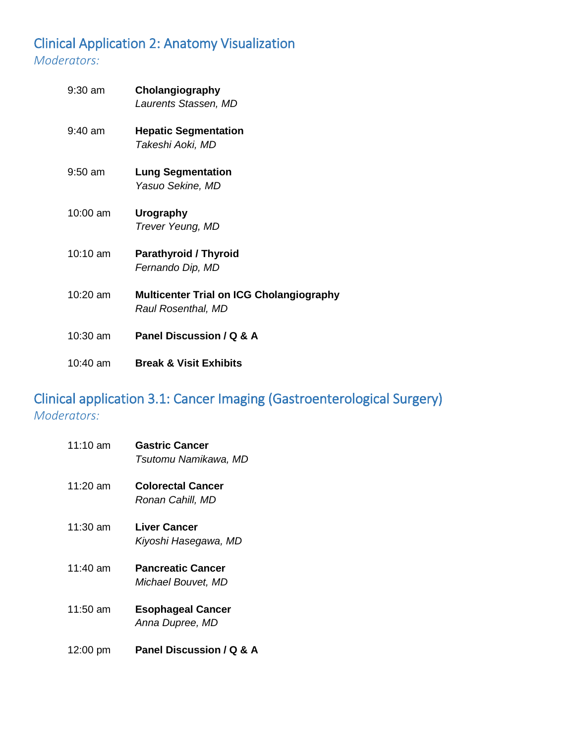## Clinical Application 2: Anatomy Visualization *Moderators:*

| $9:30$ am         | Cholangiography<br>Laurents Stassen, MD                               |
|-------------------|-----------------------------------------------------------------------|
| $9:40$ am         | <b>Hepatic Segmentation</b><br>Takeshi Aoki, MD                       |
| $9:50 \text{ am}$ | <b>Lung Segmentation</b><br>Yasuo Sekine, MD                          |
| 10:00 am          | Urography<br>Trever Yeung, MD                                         |
| 10:10 am          | <b>Parathyroid / Thyroid</b><br>Fernando Dip, MD                      |
| $10:20$ am        | <b>Multicenter Trial on ICG Cholangiography</b><br>Raul Rosenthal, MD |
| $10:30$ am        | Panel Discussion / Q & A                                              |
| 10:40 am          | <b>Break &amp; Visit Exhibits</b>                                     |

## Clinical application 3.1: Cancer Imaging (Gastroenterological Surgery) *Moderators:*

| $11:10 \text{ am}$ | <b>Gastric Cancer</b><br>Tsutomu Namikawa, MD  |
|--------------------|------------------------------------------------|
| $11:20$ am         | <b>Colorectal Cancer</b><br>Ronan Cahill, MD   |
| 11:30 am           | Liver Cancer<br>Kiyoshi Hasegawa, MD           |
| $11:40$ am         | <b>Pancreatic Cancer</b><br>Michael Bouvet, MD |
| $11:50$ am         | <b>Esophageal Cancer</b><br>Anna Dupree, MD    |
| 12:00 pm           | Panel Discussion / Q & A                       |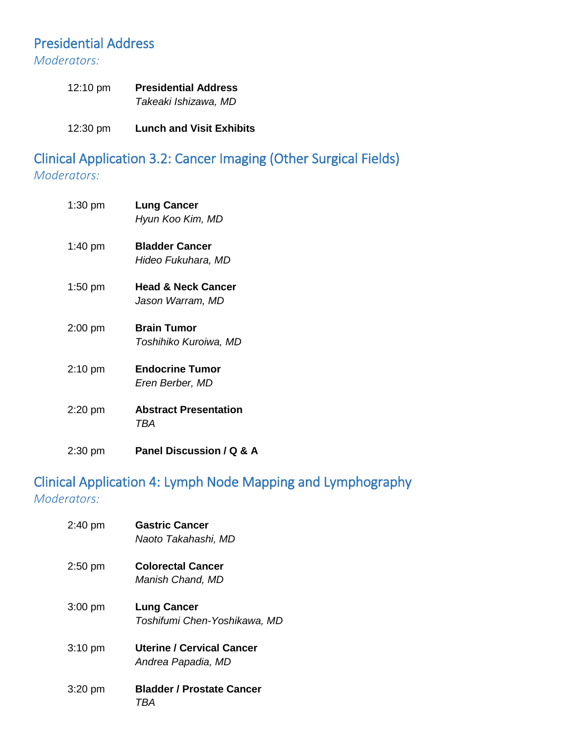### Presidential Address

*Moderators:* 

| 12:10 pm | <b>Presidential Address</b> |
|----------|-----------------------------|
|          | Takeaki Ishizawa, MD        |

12:30 pm **Lunch and Visit Exhibits**

Clinical Application 3.2: Cancer Imaging (Other Surgical Fields) *Moderators:* 

| $1:30$ pm         | <b>Lung Cancer</b><br>Hyun Koo Kim, MD            |
|-------------------|---------------------------------------------------|
| $1:40 \text{ pm}$ | <b>Bladder Cancer</b><br>Hideo Fukuhara, MD       |
| $1:50$ pm         | <b>Head &amp; Neck Cancer</b><br>Jason Warram, MD |
| $2:00$ pm         | <b>Brain Tumor</b><br>Toshihiko Kuroiwa, MD       |
| $2:10$ pm         | <b>Endocrine Tumor</b><br>Eren Berber, MD         |
| $2:20$ pm         | <b>Abstract Presentation</b><br>TBA               |
| $2:30$ pm         | Panel Discussion / Q & A                          |

## Clinical Application 4: Lymph Node Mapping and Lymphography *Moderators:*

| $2:40$ pm | <b>Gastric Cancer</b><br>Naoto Takahashi, MD       |
|-----------|----------------------------------------------------|
| $2:50$ pm | <b>Colorectal Cancer</b><br>Manish Chand, MD       |
| $3:00$ pm | <b>Lung Cancer</b><br>Toshifumi Chen-Yoshikawa, MD |
| $3:10$ pm | Uterine / Cervical Cancer<br>Andrea Papadia, MD    |
| $3:20$ pm | <b>Bladder / Prostate Cancer</b><br>I BA           |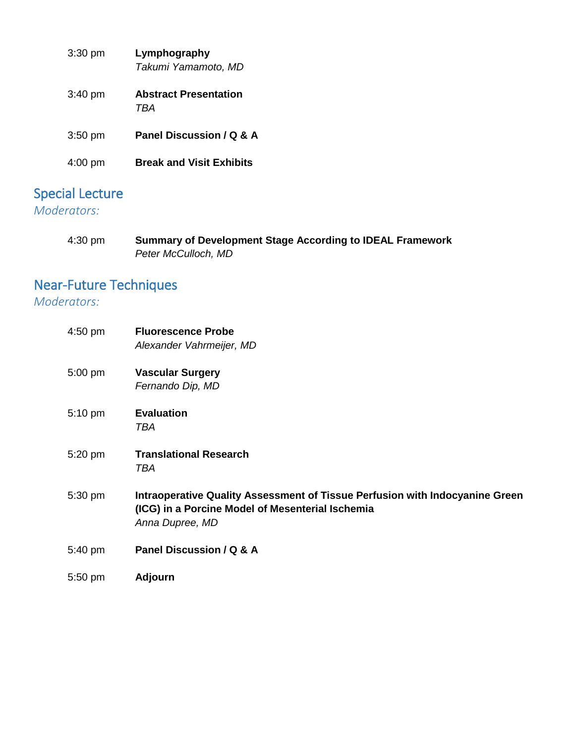| $3:30$ pm         | Lymphography<br>Takumi Yamamoto, MD |
|-------------------|-------------------------------------|
| $3:40 \text{ pm}$ | <b>Abstract Presentation</b><br>TRA |
| $3:50$ pm         | Panel Discussion / Q & A            |
| 4:00 pm           | <b>Break and Visit Exhibits</b>     |

# Special Lecture

## *Moderators:*

| 4:30 pm | <b>Summary of Development Stage According to IDEAL Framework</b> |
|---------|------------------------------------------------------------------|
|         | Peter McCulloch, MD                                              |

# Near-Future Techniques

#### *Moderators:*

| 4:50 pm | <b>Fluorescence Probe</b><br>Alexander Vahrmeijer, MD                                                                                               |
|---------|-----------------------------------------------------------------------------------------------------------------------------------------------------|
| 5:00 pm | <b>Vascular Surgery</b><br>Fernando Dip, MD                                                                                                         |
| 5:10 pm | <b>Evaluation</b><br>TBA                                                                                                                            |
| 5:20 pm | <b>Translational Research</b><br>TBA                                                                                                                |
| 5:30 pm | Intraoperative Quality Assessment of Tissue Perfusion with Indocyanine Green<br>(ICG) in a Porcine Model of Mesenterial Ischemia<br>Anna Dupree, MD |
| 5:40 pm | Panel Discussion / Q & A                                                                                                                            |
| 5:50 pm | <b>Adjourn</b>                                                                                                                                      |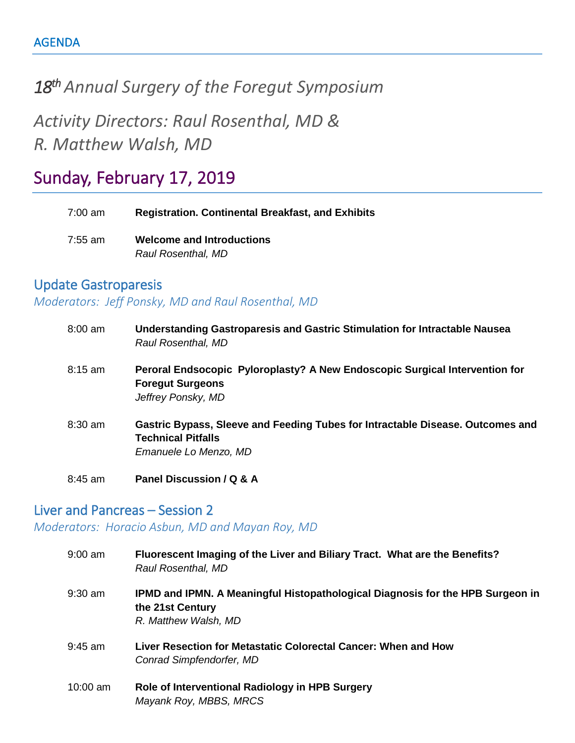# *18th Annual Surgery of the Foregut Symposium*

*Activity Directors: Raul Rosenthal, MD & R. Matthew Walsh, MD*

# Sunday, February 17, 2019

| 7:00 am | <b>Registration. Continental Breakfast, and Exhibits</b> |
|---------|----------------------------------------------------------|
| 7:55 am | <b>Welcome and Introductions</b>                         |
|         | Raul Rosenthal, MD                                       |

#### Update Gastroparesis

*Moderators: Jeff Ponsky, MD and Raul Rosenthal, MD*

| $8:00 \text{ am}$ | Understanding Gastroparesis and Gastric Stimulation for Intractable Nausea<br>Raul Rosenthal, MD                                     |
|-------------------|--------------------------------------------------------------------------------------------------------------------------------------|
| $8:15$ am         | Peroral Endsocopic Pyloroplasty? A New Endoscopic Surgical Intervention for<br><b>Foregut Surgeons</b><br>Jeffrey Ponsky, MD         |
| $8:30$ am         | Gastric Bypass, Sleeve and Feeding Tubes for Intractable Disease. Outcomes and<br><b>Technical Pitfalls</b><br>Emanuele Lo Menzo, MD |
| $8:45$ am         | Panel Discussion / Q & A                                                                                                             |

#### Liver and Pancreas – Session 2

*Moderators: Horacio Asbun, MD and Mayan Roy, MD*

| $9:00$ am  | Fluorescent Imaging of the Liver and Biliary Tract. What are the Benefits?<br>Raul Rosenthal, MD                                  |
|------------|-----------------------------------------------------------------------------------------------------------------------------------|
| $9:30$ am  | <b>IPMD and IPMN. A Meaningful Histopathological Diagnosis for the HPB Surgeon in</b><br>the 21st Century<br>R. Matthew Walsh, MD |
| $9:45$ am  | Liver Resection for Metastatic Colorectal Cancer: When and How<br>Conrad Simpfendorfer, MD                                        |
| $10:00$ am | Role of Interventional Radiology in HPB Surgery<br>Mayank Roy, MBBS, MRCS                                                         |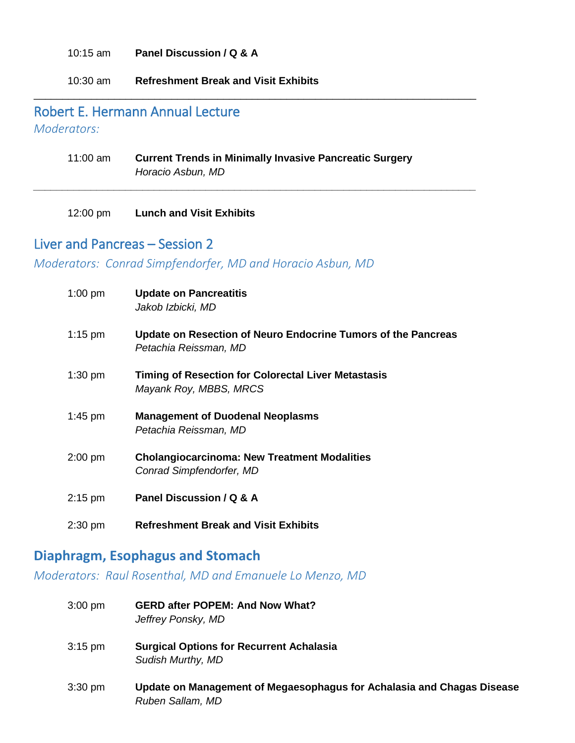10:15 am **Panel Discussion / Q & A**

10:30 am **Refreshment Break and Visit Exhibits**

## Robert E. Hermann Annual Lecture

*Moderators:* 

| 11:00 am | <b>Current Trends in Minimally Invasive Pancreatic Surgery</b> |
|----------|----------------------------------------------------------------|
|          | Horacio Asbun, MD                                              |

\_\_\_\_\_\_\_\_\_\_\_\_\_\_\_\_\_\_\_\_\_\_\_\_\_\_\_\_\_\_\_\_\_\_\_\_\_\_\_\_\_\_\_\_\_\_\_\_\_\_\_\_\_\_\_\_\_\_\_\_\_\_\_\_\_\_\_\_\_\_\_\_\_\_\_\_\_

*\_\_\_\_\_\_\_\_\_\_\_\_\_\_\_\_\_\_\_\_\_\_\_\_\_\_\_\_\_\_\_\_\_\_\_\_\_\_\_\_\_\_\_\_\_\_\_\_\_\_\_\_\_\_\_\_\_\_\_\_\_\_\_\_\_\_\_\_\_\_\_\_\_\_\_\_\_*

12:00 pm **Lunch and Visit Exhibits**

#### Liver and Pancreas – Session 2

*Moderators: Conrad Simpfendorfer, MD and Horacio Asbun, MD*

| $1:00$ pm | <b>Update on Pancreatitis</b><br>Jakob Izbicki, MD                                     |
|-----------|----------------------------------------------------------------------------------------|
| $1:15$ pm | Update on Resection of Neuro Endocrine Tumors of the Pancreas<br>Petachia Reissman, MD |
| $1:30$ pm | Timing of Resection for Colorectal Liver Metastasis<br>Mayank Roy, MBBS, MRCS          |
| 1:45 pm   | <b>Management of Duodenal Neoplasms</b><br>Petachia Reissman, MD                       |
| $2:00$ pm | <b>Cholangiocarcinoma: New Treatment Modalities</b><br>Conrad Simpfendorfer, MD        |
| $2:15$ pm | Panel Discussion / Q & A                                                               |
| $2:30$ pm | <b>Refreshment Break and Visit Exhibits</b>                                            |

#### **Diaphragm, Esophagus and Stomach**

*Moderators: Raul Rosenthal, MD and Emanuele Lo Menzo, MD*

- 3:00 pm **GERD after POPEM: And Now What?** *Jeffrey Ponsky, MD*
- 3:15 pm **Surgical Options for Recurrent Achalasia** *Sudish Murthy, MD*
- 3:30 pm **Update on Management of Megaesophagus for Achalasia and Chagas Disease** *Ruben Sallam, MD*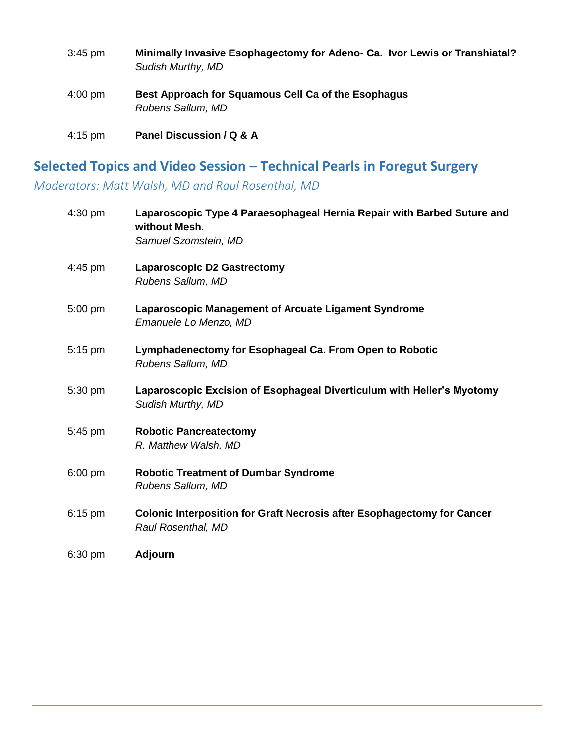| $3:45$ pm         | Minimally Invasive Esophagectomy for Adeno- Ca. Ivor Lewis or Transhiatal?<br>Sudish Murthy, MD |
|-------------------|-------------------------------------------------------------------------------------------------|
| $4:00 \text{ pm}$ | Best Approach for Squamous Cell Ca of the Esophagus<br>Rubens Sallum, MD                        |
| $4:15$ pm         | Panel Discussion / Q & A                                                                        |

# **Selected Topics and Video Session – Technical Pearls in Foregut Surgery**

*Moderators: Matt Walsh, MD and Raul Rosenthal, MD*

| 4:30 pm | Laparoscopic Type 4 Paraesophageal Hernia Repair with Barbed Suture and<br>without Mesh.             |
|---------|------------------------------------------------------------------------------------------------------|
|         | Samuel Szomstein, MD                                                                                 |
| 4:45 pm | <b>Laparoscopic D2 Gastrectomy</b><br>Rubens Sallum, MD                                              |
| 5:00 pm | Laparoscopic Management of Arcuate Ligament Syndrome<br>Emanuele Lo Menzo, MD                        |
| 5:15 pm | Lymphadenectomy for Esophageal Ca. From Open to Robotic<br>Rubens Sallum, MD                         |
| 5:30 pm | Laparoscopic Excision of Esophageal Diverticulum with Heller's Myotomy<br>Sudish Murthy, MD          |
| 5:45 pm | <b>Robotic Pancreatectomy</b><br>R. Matthew Walsh, MD                                                |
| 6:00 pm | <b>Robotic Treatment of Dumbar Syndrome</b><br>Rubens Sallum, MD                                     |
| 6:15 pm | <b>Colonic Interposition for Graft Necrosis after Esophagectomy for Cancer</b><br>Raul Rosenthal, MD |
| 6:30 pm | <b>Adjourn</b>                                                                                       |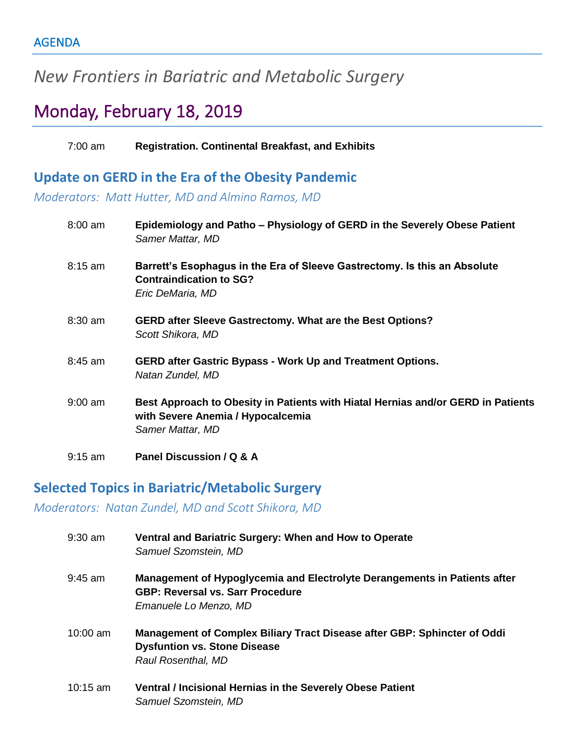# *New Frontiers in Bariatric and Metabolic Surgery*

# Monday, February 18, 2019

7:00 am **Registration. Continental Breakfast, and Exhibits**

#### **Update on GERD in the Era of the Obesity Pandemic**

*Moderators: Matt Hutter, MD and Almino Ramos, MD*

| 8:00 am   | Epidemiology and Patho – Physiology of GERD in the Severely Obese Patient<br>Samer Mattar, MD                                             |
|-----------|-------------------------------------------------------------------------------------------------------------------------------------------|
| $8:15$ am | Barrett's Esophagus in the Era of Sleeve Gastrectomy. Is this an Absolute<br><b>Contraindication to SG?</b><br>Eric DeMaria, MD           |
| $8:30$ am | <b>GERD after Sleeve Gastrectomy. What are the Best Options?</b><br>Scott Shikora, MD                                                     |
| $8:45$ am | <b>GERD after Gastric Bypass - Work Up and Treatment Options.</b><br>Natan Zundel, MD                                                     |
| $9:00$ am | Best Approach to Obesity in Patients with Hiatal Hernias and/or GERD in Patients<br>with Severe Anemia / Hypocalcemia<br>Samer Mattar, MD |
| $9:15$ am | Panel Discussion / Q & A                                                                                                                  |

#### **Selected Topics in Bariatric/Metabolic Surgery**

*Moderators: Natan Zundel, MD and Scott Shikora, MD*

| 9:30 am  | Ventral and Bariatric Surgery: When and How to Operate<br>Samuel Szomstein, MD                                                                |
|----------|-----------------------------------------------------------------------------------------------------------------------------------------------|
| 9:45 am  | Management of Hypoglycemia and Electrolyte Derangements in Patients after<br><b>GBP: Reversal vs. Sarr Procedure</b><br>Emanuele Lo Menzo, MD |
| 10:00 am | Management of Complex Biliary Tract Disease after GBP: Sphincter of Oddi<br><b>Dysfuntion vs. Stone Disease</b><br>Raul Rosenthal, MD         |
| 10:15 am | <b>Ventral / Incisional Hernias in the Severely Obese Patient</b><br>Samuel Szomstein, MD                                                     |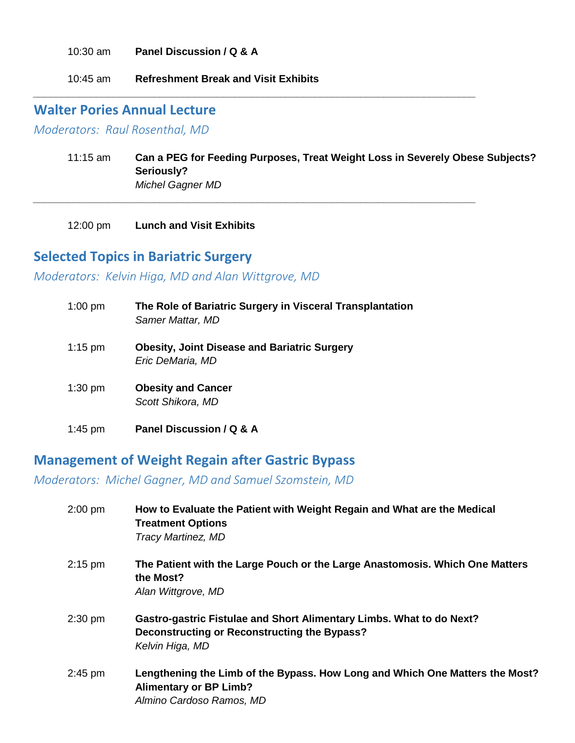10:30 am **Panel Discussion / Q & A**

10:45 am **Refreshment Break and Visit Exhibits**

#### **Walter Pories Annual Lecture**

*Moderators: Raul Rosenthal, MD*

11:15 am **Can a PEG for Feeding Purposes, Treat Weight Loss in Severely Obese Subjects? Seriously?** *Michel Gagner MD*

*\_\_\_\_\_\_\_\_\_\_\_\_\_\_\_\_\_\_\_\_\_\_\_\_\_\_\_\_\_\_\_\_\_\_\_\_\_\_\_\_\_\_\_\_\_\_\_\_\_\_\_\_\_\_\_\_\_\_\_\_\_\_\_\_\_\_\_\_\_\_\_\_\_\_\_\_\_*

*\_\_\_\_\_\_\_\_\_\_\_\_\_\_\_\_\_\_\_\_\_\_\_\_\_\_\_\_\_\_\_\_\_\_\_\_\_\_\_\_\_\_\_\_\_\_\_\_\_\_\_\_\_\_\_\_\_\_\_\_\_\_\_\_\_\_\_\_\_\_\_\_\_\_\_\_\_*

12:00 pm **Lunch and Visit Exhibits**

#### **Selected Topics in Bariatric Surgery**

*Moderators: Kelvin Higa, MD and Alan Wittgrove, MD*

| $1:00$ pm | The Role of Bariatric Surgery in Visceral Transplantation<br>Samer Mattar, MD |
|-----------|-------------------------------------------------------------------------------|
| $1:15$ pm | <b>Obesity, Joint Disease and Bariatric Surgery</b><br>Eric DeMaria, MD       |
| $1:30$ pm | <b>Obesity and Cancer</b><br>Scott Shikora, MD                                |
| 1:45 pm   | Panel Discussion / Q & A                                                      |

#### **Management of Weight Regain after Gastric Bypass**

*Moderators: Michel Gagner, MD and Samuel Szomstein, MD* 

| $2:00$ pm | How to Evaluate the Patient with Weight Regain and What are the Medical<br><b>Treatment Options</b><br>Tracy Martinez, MD                      |
|-----------|------------------------------------------------------------------------------------------------------------------------------------------------|
| $2:15$ pm | The Patient with the Large Pouch or the Large Anastomosis. Which One Matters<br>the Most?<br>Alan Wittgrove, MD                                |
| $2:30$ pm | <b>Gastro-gastric Fistulae and Short Alimentary Limbs. What to do Next?</b><br>Deconstructing or Reconstructing the Bypass?<br>Kelvin Higa, MD |
| $2:45$ pm | Lengthening the Limb of the Bypass. How Long and Which One Matters the Most?<br><b>Alimentary or BP Limb?</b><br>Almino Cardoso Ramos, MD      |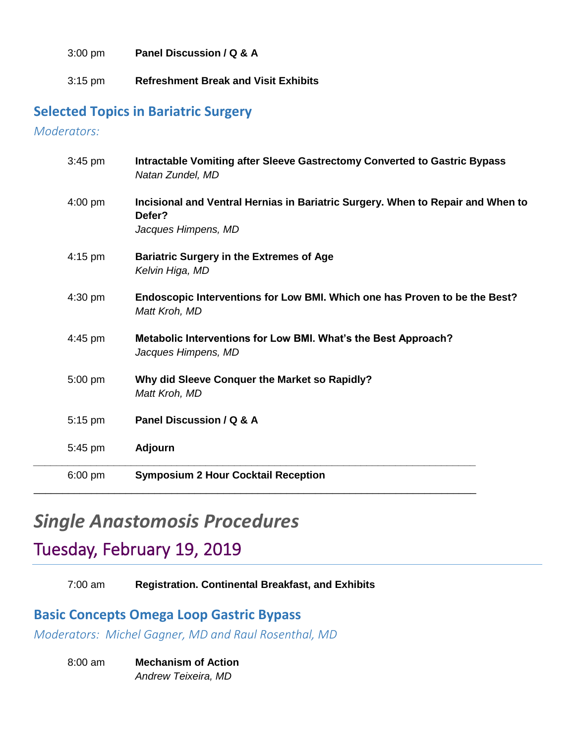3:00 pm **Panel Discussion / Q & A**

3:15 pm **Refreshment Break and Visit Exhibits**

#### **Selected Topics in Bariatric Surgery**

*Moderators:* 

| $3:45$ pm | Intractable Vomiting after Sleeve Gastrectomy Converted to Gastric Bypass<br>Natan Zundel, MD                    |
|-----------|------------------------------------------------------------------------------------------------------------------|
| $4:00$ pm | Incisional and Ventral Hernias in Bariatric Surgery. When to Repair and When to<br>Defer?<br>Jacques Himpens, MD |
| $4:15$ pm | <b>Bariatric Surgery in the Extremes of Age</b><br>Kelvin Higa, MD                                               |
| $4:30$ pm | Endoscopic Interventions for Low BMI. Which one has Proven to be the Best?<br>Matt Kroh, MD                      |
| $4:45$ pm | Metabolic Interventions for Low BMI. What's the Best Approach?<br>Jacques Himpens, MD                            |
| 5:00 pm   | Why did Sleeve Conquer the Market so Rapidly?<br>Matt Kroh, MD                                                   |
| $5:15$ pm | Panel Discussion / Q & A                                                                                         |
| 5:45 pm   | <b>Adjourn</b>                                                                                                   |
| $6:00$ pm | <b>Symposium 2 Hour Cocktail Reception</b>                                                                       |

# *Single Anastomosis Procedures*

# Tuesday, February 19, 2019

7:00 am **Registration. Continental Breakfast, and Exhibits**

#### **Basic Concepts Omega Loop Gastric Bypass**

*Moderators: Michel Gagner, MD and Raul Rosenthal, MD*

8:00 am **Mechanism of Action** *Andrew Teixeira, MD*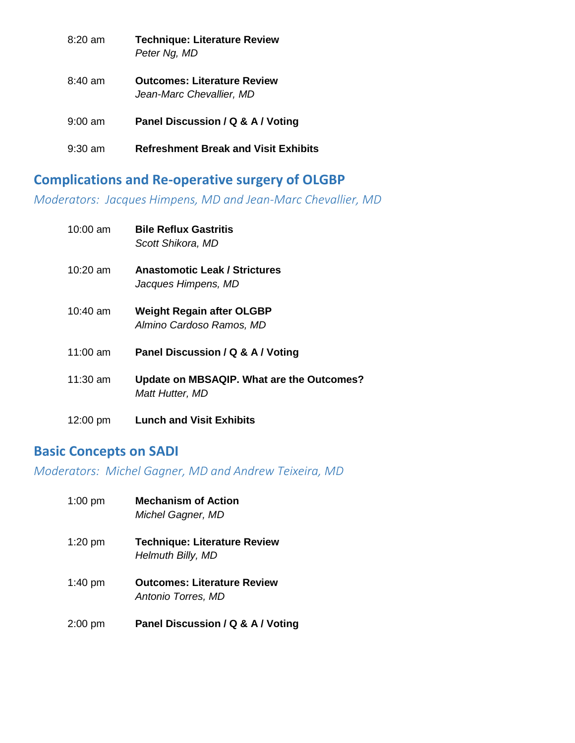| $8:20 \text{ am}$ | <b>Technique: Literature Review</b><br>Peter Ng, MD            |
|-------------------|----------------------------------------------------------------|
| $8:40 \text{ am}$ | <b>Outcomes: Literature Review</b><br>Jean-Marc Chevallier, MD |
| $9:00$ am         | Panel Discussion / Q & A / Voting                              |
| $9:30 \text{ am}$ | <b>Refreshment Break and Visit Exhibits</b>                    |

## **Complications and Re-operative surgery of OLGBP**

*Moderators: Jacques Himpens, MD and Jean-Marc Chevallier, MD*

| $10:00$ am         | <b>Bile Reflux Gastritis</b><br>Scott Shikora, MD            |
|--------------------|--------------------------------------------------------------|
| $10:20$ am         | <b>Anastomotic Leak / Strictures</b><br>Jacques Himpens, MD  |
| 10:40 am           | <b>Weight Regain after OLGBP</b><br>Almino Cardoso Ramos, MD |
| 11:00 am           | Panel Discussion / Q & A / Voting                            |
| 11:30 am           | Update on MBSAQIP. What are the Outcomes?<br>Matt Hutter, MD |
| $12:00 \text{ pm}$ | <b>Lunch and Visit Exhibits</b>                              |

## **Basic Concepts on SADI**

*Moderators: Michel Gagner, MD and Andrew Teixeira, MD*

| $1:00$ pm | <b>Mechanism of Action</b><br>Michel Gagner, MD          |
|-----------|----------------------------------------------------------|
| $1:20$ pm | <b>Technique: Literature Review</b><br>Helmuth Billy, MD |
| $1:40$ pm | <b>Outcomes: Literature Review</b><br>Antonio Torres, MD |
| $2:00$ pm | Panel Discussion / Q & A / Voting                        |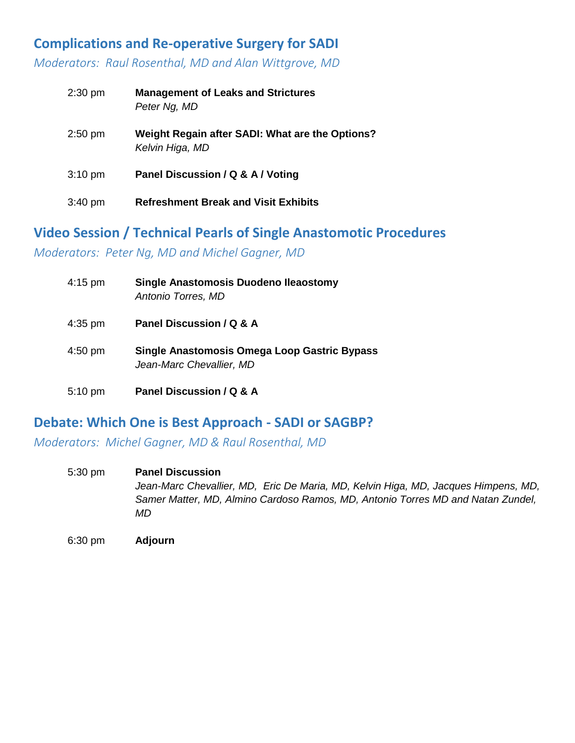## **Complications and Re-operative Surgery for SADI**

*Moderators: Raul Rosenthal, MD and Alan Wittgrove, MD*

| $2:30$ pm         | <b>Management of Leaks and Strictures</b><br>Peter Ng, MD          |
|-------------------|--------------------------------------------------------------------|
| $2:50$ pm         | Weight Regain after SADI: What are the Options?<br>Kelvin Higa, MD |
| $3:10 \text{ pm}$ | Panel Discussion / Q & A / Voting                                  |
| $3:40$ pm         | <b>Refreshment Break and Visit Exhibits</b>                        |

#### **Video Session / Technical Pearls of Single Anastomotic Procedures**

*Moderators: Peter Ng, MD and Michel Gagner, MD*

| $4:15$ pm | <b>Single Anastomosis Duodeno Ileaostomy</b><br>Antonio Torres, MD              |
|-----------|---------------------------------------------------------------------------------|
| $4:35$ pm | Panel Discussion / Q & A                                                        |
| $4:50$ pm | <b>Single Anastomosis Omega Loop Gastric Bypass</b><br>Jean-Marc Chevallier, MD |
| $5:10$ pm | Panel Discussion / Q & A                                                        |

#### **Debate: Which One is Best Approach - SADI or SAGBP?**

*Moderators: Michel Gagner, MD & Raul Rosenthal, MD*

5:30 pm **Panel Discussion** *Jean-Marc Chevallier, MD, Eric De Maria, MD, Kelvin Higa, MD, Jacques Himpens, MD, Samer Matter, MD, Almino Cardoso Ramos, MD, Antonio Torres MD and Natan Zundel, MD*

6:30 pm **Adjourn**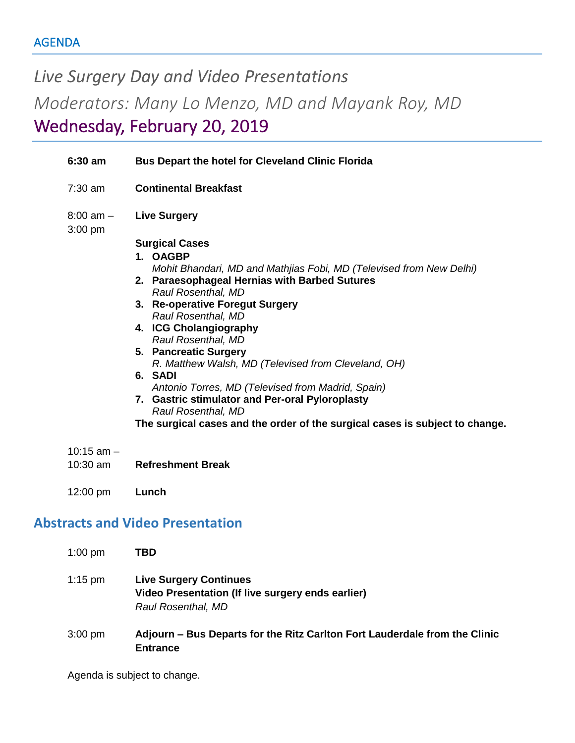*Live Surgery Day and Video Presentations Moderators: Many Lo Menzo, MD and Mayank Roy, MD* Wednesday, February 20, 2019

|                                         | $6:30$ am                  | <b>Bus Depart the hotel for Cleveland Clinic Florida</b>                                                                                                                                                                                                                                                                                                                                                                                                                                                                                                                                          |  |
|-----------------------------------------|----------------------------|---------------------------------------------------------------------------------------------------------------------------------------------------------------------------------------------------------------------------------------------------------------------------------------------------------------------------------------------------------------------------------------------------------------------------------------------------------------------------------------------------------------------------------------------------------------------------------------------------|--|
|                                         | $7:30$ am                  | <b>Continental Breakfast</b>                                                                                                                                                                                                                                                                                                                                                                                                                                                                                                                                                                      |  |
|                                         | $8:00$ am $-$<br>$3:00$ pm | <b>Live Surgery</b>                                                                                                                                                                                                                                                                                                                                                                                                                                                                                                                                                                               |  |
|                                         |                            | <b>Surgical Cases</b><br>1. OAGBP<br>Mohit Bhandari, MD and Mathjias Fobi, MD (Televised from New Delhi)<br>2. Paraesophageal Hernias with Barbed Sutures<br>Raul Rosenthal, MD<br>3. Re-operative Foregut Surgery<br>Raul Rosenthal, MD<br>4. ICG Cholangiography<br>Raul Rosenthal, MD<br>5. Pancreatic Surgery<br>R. Matthew Walsh, MD (Televised from Cleveland, OH)<br>6. SADI<br>Antonio Torres, MD (Televised from Madrid, Spain)<br>7. Gastric stimulator and Per-oral Pyloroplasty<br>Raul Rosenthal, MD<br>The surgical cases and the order of the surgical cases is subject to change. |  |
|                                         | $10:15$ am $-$<br>10:30 am | <b>Refreshment Break</b>                                                                                                                                                                                                                                                                                                                                                                                                                                                                                                                                                                          |  |
|                                         | 12:00 pm                   | Lunch                                                                                                                                                                                                                                                                                                                                                                                                                                                                                                                                                                                             |  |
| <b>Abstracts and Video Presentation</b> |                            |                                                                                                                                                                                                                                                                                                                                                                                                                                                                                                                                                                                                   |  |
|                                         | $1:00$ pm                  | <b>TBD</b>                                                                                                                                                                                                                                                                                                                                                                                                                                                                                                                                                                                        |  |
|                                         | $1:15$ pm                  | <b>Live Surgery Continues</b><br>Video Presentation (If live surgery ends earlier)                                                                                                                                                                                                                                                                                                                                                                                                                                                                                                                |  |

3:00 pm **Adjourn – Bus Departs for the Ritz Carlton Fort Lauderdale from the Clinic Entrance**

Agenda is subject to change.

*Raul Rosenthal, MD*